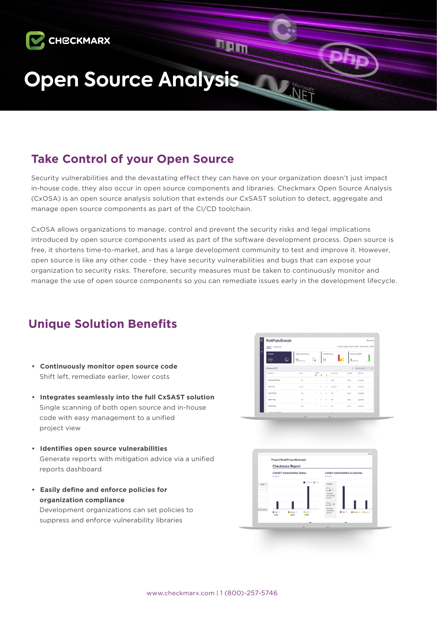

# **Take Control of your Open Source**

Security vulnerabilities and the devastating effect they can have on your organization doesn't just impact in-house code, they also occur in open source components and libraries. Checkmarx Open Source Analysis (CxOSA) is an open source analysis solution that extends our CxSAST solution to detect, aggregate and manage open source components as part of the CI/CD toolchain.

CxOSA allows organizations to manage, control and prevent the security risks and legal implications introduced by open source components used as part of the software development process. Open source is free, it shortens time-to-market, and has a large development community to test and improve it. However, open source is like any other code - they have security vulnerabilities and bugs that can expose your organization to security risks. Therefore, security measures must be taken to continuously monitor and manage the use of open source components so you can remediate issues early in the development lifecycle.

# **Unique Solution Benefits**

- **• Continuously monitor open source code**  Shift left, remediate earlier, lower costs
- **• Integrates seamlessly into the full CxSAST solution**  Single scanning of both open source and in-house code with easy management to a unified project view
- **• Identifies open source vulnerabilities**  Generate reports with mitigation advice via a unified reports dashboard
- **• Easily define and enforce policies for organization compliance** Development organizations can set policies to

suppress and enforce vulnerability libraries